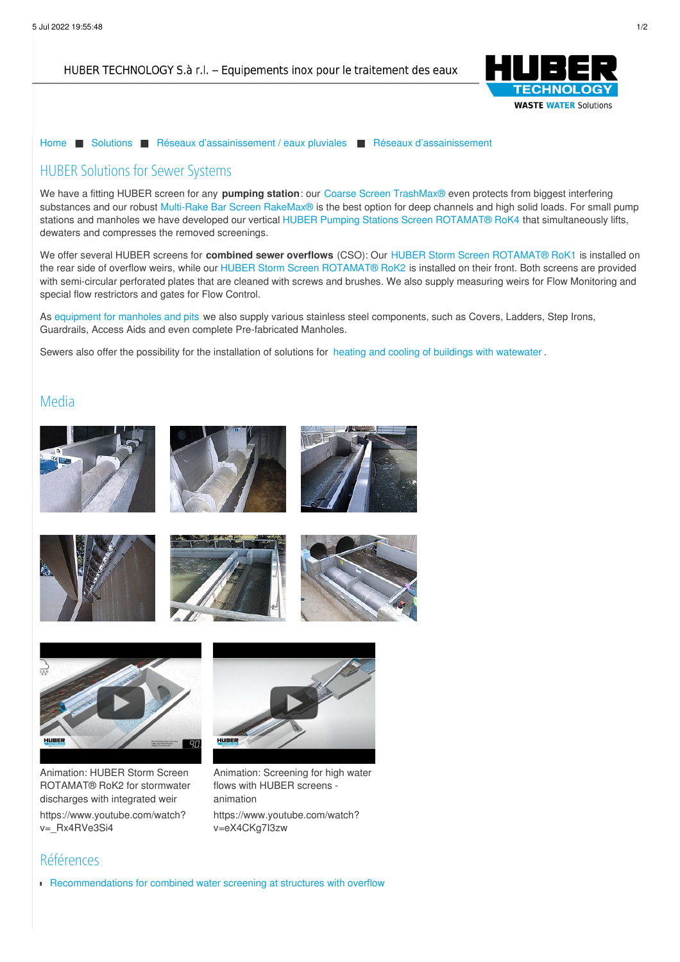HUBER TECHNOLOGY S.à r.l. - Equipements inox pour le traitement des eaux



[Home](/fr.html) ■ [Solutions](/fr/solutions.html) ■ Réseaux [d'assainissement](/fr/solutions/reseaux-dassainissement-eaux-pluviales.html) / eaux pluviales ■ Réseaux [d'assainissement](/fr/solutions/reseaux-dassainissement-eaux-pluviales/reseaux-dassainissement.html)

## HUBER Solutions for Sewer Systems

We have a fitting HUBER screen for any **pumping station**: our Coarse Screen [TrashMax®](https://www.huber.de/fr/produits/degrillage/degrilleurs-verticaux-tamis-a-champs-filtrant/huber-degrilleur-grossier-trashmaxr.html) even protects from biggest interfering substances and our robust Multi-Rake Bar Screen [RakeMax®](fr/produits/reseaux-dassainissement-traitement-des-eaux-pluviales/tamis-pour-stations-de-pompage/huber-degrilleur-droit-a-raclage-continu-rakemaxr.html) is the best option for deep channels and high solid loads. For small pump stations and manholes we have developed our vertical HUBER Pumping Stations Screen [ROTAMAT®](https://www.huber.de/fr/produits/degrillage/tamis-rotamatr/huber-degrilleur-a-vis-vertical-pour-stations-de-pompage-rotamatr-rok4.html) RoK4 that simultaneously lifts, dewaters and compresses the removed screenings.

We offer several HUBER screens for **combined sewer overflows** (CSO): Our HUBER Storm Screen [ROTAMAT®](https://www.huber.de/fr/produits/reseaux-dassainissement-traitement-des-eaux-pluviales/traitement-des-eaux-mixtes/huber-degrilleur-rotamatr-rok1-pour-surverses-dorage.html) RoK1 is installed on the rear side of overflow weirs, while our HUBER Storm Screen [ROTAMAT®](https://www.huber.de/fr/produits/reseaux-dassainissement-traitement-des-eaux-pluviales/traitement-des-eaux-mixtes/huber-storm-screen-rotamatr-rok2-for-stormwater-discharges.html) RoK2 is installed on their front. Both screens are provided with semi-circular perforated plates that are cleaned with screws and brushes. We also supply measuring weirs for Flow Monitoring and special flow restrictors and gates for Flow Control.

As [equipment](https://www.huber.de/fr/produits/equipements-en-inox/equipements-pour-regards.html) for manholes and pits we also supply various stainless steel components, such as Covers, Ladders, Step Irons, G[uardrails,](/fr/mentions-juridiques.html) Access Aids and even complete Pre-fabricated Manholes.

Sewers also [offer](#) the possibility for the installation of solutions for heating and cooling of buildings with [watewater](/fr/solutions/utilisation-de-la-chaleur/sewers-sources-of-energy.html) .

## Media











Animation: HUBER Storm Screen ROTAMAT® RoK2 for stormwater discharges with integrated weir [https://www.youtube.com/watch?](https://www.youtube.com/watch?v=_Rx4RVe3Si4&start=4&end=0) v= Rx4RVe3Si4



Animation: Screening for high water flows with HUBER screens animation [https://www.youtube.com/watch?](https://www.youtube.com/watch?v=eX4CKg7I3zw&start=110&end=175) v=eX4CKg7I3zw

## Références

[Recommendations](/fr/huber-report/ablage-berichte/storm-sewer-equipment/recommendations-for-combined-water-screening-at-structures-with-overflow.html) for combined water screening at structures with overflow